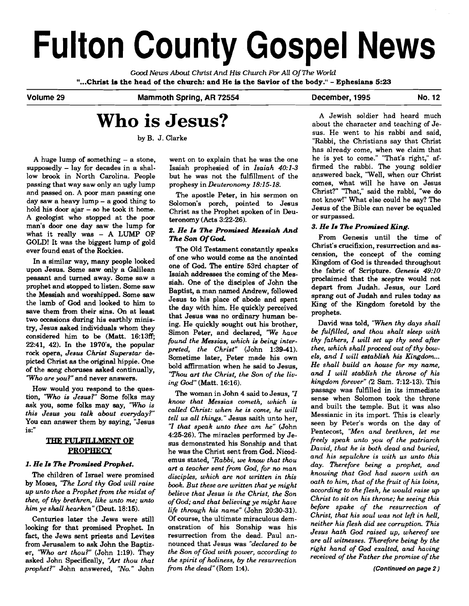# **Fulton County Gospel News**

Good *News About* **Christ** *And His Church For* **All Of** *The World*  **"...Christ is the head of the church: and He is the Savior of the body."** - **Ephesians 5:23** 

Volume **29** Mammoth Spring, **AR 72554** December, **1995** No. **12** 

## **Who is Jesus?**

by B. J. Clarke

A huge lump of something  $-$  a stone, supposedly  $-$  lay for decades in a shallow brook in North Carolina. People passing that way saw only an ugly lump and passed on. A poor man passing one day saw a heavy lump  $-$  a good thing to hold his door ajar - **eo** he took it home. A geologist who stopped at the poor man's door one day saw the lump for what it really was - A LUMP OF GOLD! It was the biggest lump of gold ever found east of the Rockies.

In a similar way, many people looked upon Jesus. Some **saw** only a Galilean peasant and turned away. Some saw a prophet and stopped to listen. Some saw the Messiah and worshipped. Some saw the lamb of **God** and looked to him to save them from their sins. On at least two occasions during his earthly minis**try,** Jesus asked individuals whom they considered him to be (Matt. 16:13ff; 22:41, 42). In the 1970's, the popular rock opera, *Jesus Christ Superstar* depicted Christ as the original hippie. One of the song choruses asked continually, *'Who are you?"* and never answers. passing that way saw as heavy lump in properts in Denteronton, the day saw a heavy lump – a good thing to Solomon's port, by day saw a heavy lump – a good thing to Solomon's porth, po<br>hold his door night – as the policy i

How would you respond to the question, *'Who is Jesus?"* Some folks may ask you, some folks may say, *"Who is this Jesus you talk about everyday?"*  You can answer them by saying, "Jesus

### **PROPHECY**

#### *1. He Is The Promised Prophet.*

The children of Israel were promised by Moses, *"The Lard thy God will raise up unto thee a Prophet from the midst of thee, of thy brethren, like unto* **me;** *unto him ye shall hearken"* (Deut. 18:15).

Centuries later the Jews were still looking for that promised Prophet. In fact, the Jews sent priests and Levites from Jerusalem to ask John the Baptizer, *'Who art thou?"* (John 1:19). They asked John Specifically, *'Art thou that prophet?"* John answered, *"No.* " John

went on to explain that he was the one Isaiah prophesied of in *Isaiah 40:l-3*  but he was not the fulfillment of the prophesy in *Deuteronomy 18:15-18.* 

The apostle Peter, in his sermon on Solomon's porch, pointed to Jesus Christ as the Prophet spoken of in Deuteronomy (Acts 3:22-26).

#### 2. He Is The Promised Messiah And *The* **Son** *Of Cod*

The Old Testament constantly speaks of one who would come as the anointed one of God. The entire 53rd chapter of Isaiah addresses the coming of the Messiah. One of the disciples of John the Baptist, a man named Andrew, followed Jesus to his place of abode and spent the day with him. He quickly perceived that Jesus was no ordinary human being. He quickly sought out his brother, Simon Peter, and declared, *'We have fiund the Messias, which is being interpreted, the Christ"* (John 1:39-41). Sometime later, Peter made his om bold affirmation when he said to Jesus, *"Thou art the Christ, the Son of the living God"* (Matt. 16:16).

The woman in John 4 said to Jesus, "I *know that Messias cometh, which is called Christ: when he is come, he will tell* **lls** *all things."* Jesus saith unto her, rate that message content, when is<br>
called Christ: when he is come, he will<br>
ell us all things." Jesus saith unto her,<br> *I* that speak unto thee am he" (John 4:25-26). The miracles performed by Jesus demonstrated his Sonship and that he was the Christ sent from God. Nicodemus stated, *"Rabbi, we know that thou art a teacher sent from God, for no man disciples, which are not written in this book. But these are written that ye might believe that Jesus is the Christ, the Son of* **God;** *and that believing ye might have life through his name"* (John 20:30-31). *Of* course, the ultimate miraculous demonstration of his Sonship was his resurrection from the dead. Paul announced that Jesus was "declared to be *the Son of God with power, according to the spirit of holiness, by the resurrection from the dead"* (Rom 1:4).

A Jewish soldier had heard much about the character and teaching of Jesus. He went to his rabbi and said, "Rabbi, the Christians say that Christ has already come, when we claim that he is yet to come." "That's right," affirmed the rabbi. The young soldier answered back, "Well, when our Christ comes, what will he have on Jesus Christ?" "That," said the rabbi, "we do not know!" What else could he say? The Jesus of the Bible can never be equaled or surpassed.

#### *3. He Is The Promised King.*

From Genesis until the time of Christ's crucifixion, resurrection and ascension, the concept of the coming Kingdom of God is threaded throughout the fabric of Scripture. *Genesis 49:10*  proclaimed that the sceptre would not depart from Judah. Jesus, our Lord sprang out of Judah and rules today as King of the Kingdom foretold by the prophets.

David was told, "When thy days shall *be fulfilled, and thou shalt sleep with thy fathers, I will set up thy seed after thee, which shall proceed out of thy bowels, and I will establish his Kingdom* ... *He shall build an house for my* **name,**  *and I will stablish the throne* **of** *his kingdom forever"* (2. Sam. 7:12-13). This passage was fulfilled in its immediate sense when Solomon took the throne and built the temple. But it was also Messianic in its import. This is clearly seen by Peter's words on the day of Pentecost, *"Men and brethren, let me freely speak unto you of the patriarch David, that he is both dead and buried, and his sepulchre is with us unto this*  day. Therefore being a prophet, and *knowing that God had sworn with an oath to him, that of the fruit of his loins, according to the flesh, he would raise up Christ to sit on his throne; he seeing this before spake of the resurrection of Christ, that his soul was not lefl in hell, neither his flesh did see corruption This Jesus hath God raised up, whereof we are all witnesses. Therefore being by the right hand* **of** *God exalted, and having received of the Father the promise of the*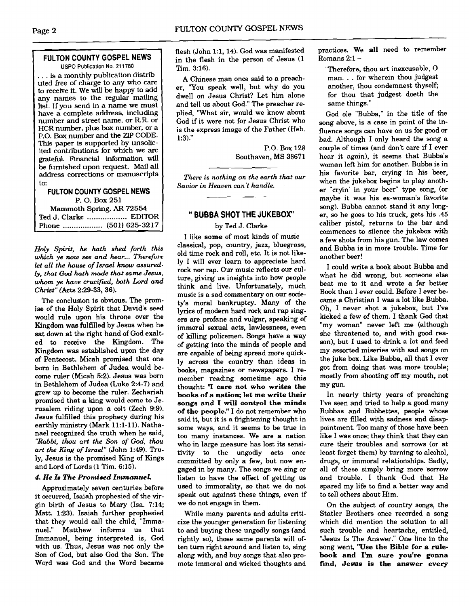#### **FULTON COUNTY GOSPEL NEWS**  USPO Publication No. 21 1780

... is a monthly publication distributed free of charge to **any** who care to receive it. We will be happy to add any names to the regular mailing list. If you send in a name we must have a complete address, including number and street name, or RR. or HCR number, plus bax number, or a P.O. Box number and the ZIP CODE. This paper **is** supported by unsolicited contributions for which we are grateful. Financial information will be furnished upon request. **Mail all**  address corrections or manuscripts to:

#### **FULTON COUNTY GOSPEL NEWS**  P. 0. Box **<sup>251</sup>**

Mammoth Spring. **AR 72554**  Ted **J.** Clarke .................. EDITOR Phone .................. **(501) 625-32 17** 

*Holy Spirit, he hath shed forth this which ye* now *see and hear* ... *Therefore let all the house of Israel* know *assuredly, that God hath* **made** *that same Jesus,*  whom **ye** *have crucified, both Lord and Christ"* (Acts 229-33,36).

The conclusion is obvious. The promise of the Holy Spirit that David's seed would rule upon his throne over the Kingdom was fulfilled by Jesus when he sat down at the right hand of God exalted to receive the Kingdom. The Kingdom was established upon the day of Pentecost. Micah promised that one born in Bethlehem of Judea would become ruler (Micah 5:2). Jesus was born in Bethlehem of Judea (Luke 2:4-7) and grew up to become the ruler. Zechariah promised that a king would come to Jerusalem riding upon a colt (Zech 9:9). Jesus fulfilled this prophecy during his earthly ministry (Mark 11:l-11). Nathanael recognized the truth when he said, *"Rabbi, thou art the Son of* **God,** *thou art the King of Ismel"* (John 1:49). Truly, Jesus is the promised King of Kings and Lord of Lords (1 Tim. 6:15).

#### *4. He Is The Promised Immanuel.*

Approximately seven centuries before it occurred, Isaiah prophesied of the virgin birth of Jesus to Mary (Isa. 7:14; Matt. 1:23). Isaiah further prophesied that they would call the child, "Immanuel." Matthew informs us that Immanuel, being interpreted is, **God**  with us. Thus, Jesus **was** not only the Son of God, but also God the Son. The Word was God and the Word became

flesh (John 1:1, 14). God was manifested in the flesh in the person of Jesus (1 Tim. 3:16).

A Chinese man once said to a preacher, "You speak well, but why do you dwell on Jesus Christ? Let him alone and tell us about God." The preacher replied, "What sir, would we know about God if it were not for Jesus Christ who is the express image of the Father (Heb. 1:3)."

> P.O. Box 128 Southaven, MS 38671

*There is nothing on the earth that our Savior in Heaven can't handle.* 

#### " **BUBBA SHOT THE JUKEBOX**

#### by Ted J. Clarke

I like **some** of most kinds of music classical, pop, country, jazz, bluegrass, old time rock and roll, etc. It is not likely I will ever learn to appreciate hard rock nor rap. Our music reflects our culture, giving us insights into how people think and live. Unfortunately, much music is a sad commentary on our society's moral bankruptcy. Many of the lyrics of modem hard rock and rap singers are profane and vulgar, speaking of immoral sexual acts, lawlessness, even of killing policemen. Songs have a way of getting into the minds of people and are capable of being spread more quickly across the country than ideas in books, magazines or newspapers. I remember reading sometime ago this thought: **'T care not who writes the books of a nation; let me write their songs and I will control the minds of the people."** I do not remember who said it, but it is a frightening thought in some ways, and it seems to be true in too many instances. We are a nation who in large measure has lost its sensitivity to the ungodly acts once committed by only a few, but now engaged in by many. The songs we sing or listen to have the effect of getting us used to immorality, so that we do not speak out against these things, even if we do not engage in them.

While many parents and adults criticize the younger generation for listening to and buying these ungodly songs (and rightly so), those same parents will often turn right around and listen to, sing along with, and buy songs that also promote immoral and wicked thoughts and practices. We **all** need to remember Romans 2:l-

"Therefore, thou art inexcusable, **0**  man. .. for wherein thou judgest another, thou condemnest thyself; for thou that judgest doeth the same things."

God ole "Bubba," in the title of the song above, is a case in point of the influence songs can have on us for good or bad. Although I only heard the song a couple of times (and don't care if I ever hear it again), it seems that Bubba's woman left him for another. Bubba is in his favorite bar, crying in his beer, when the jukebox begins to play another "cryin' in your beer" type song, (or maybe it was his ex-woman's favorite song). Bubba cannot stand it any longer, so he goes to his truck, gets his .45 caliber pistol, returns to the bar and commences to silence the jukebox with a few shots from his gun. The law comes and Bubba is in more trouble. Time for another beer!

I could write a book about Bubba and what he did wrong, but someone else beat me to it and wrote a far better Book than I ever could. Before I ever became a Christian I was a lot like Bubba. Oh, I never shot a jukebox, but I've kicked a few of them. I thank God that "my woman" never left me (although she threatened to, and with good reason), but I used to drink a lot and feed my assorted miseries with sad songs on the juke **box.** Like Bubba, all that I ever got from doing that was more trouble; mostly from shooting off my mouth, not my gun.

In nearly thirty years of preaching I've seen and tried to help a good many Bubbas and Bubbettes, people whose lives are filled with sadness and disappointment. Too many of those have been like I was once; they think that they can cure their troubles and sorrows (or at least forget them) by turning to alcohol, drugs, or immoral relationships. Sadly, all of these simply bring more sorrow and trouble. I thank God that He spared my life to find a better way and to tell others about Him.

On the subject of country songs, the Statler Brothers once recorded a song which did mention the solution to all such trouble and heartache, entitled, "Jesus Is The Answer." One line in the song went, **"Use the Bible for a rulebook and I'm sure you're gonna find, Jesus is the answer every** 

-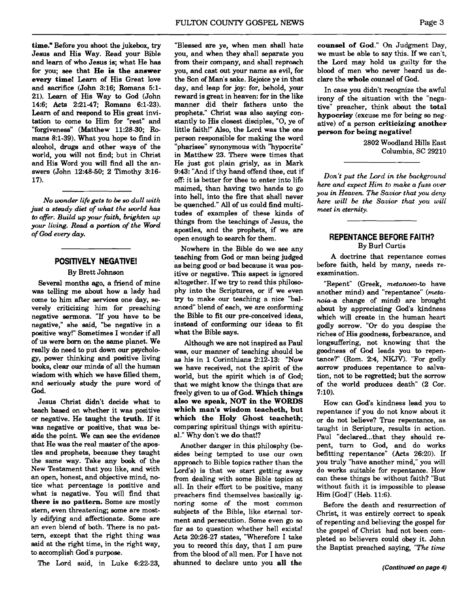**time."** Before you shoot the jukebox, **try**  Jesus and His Way. Read your Bible and learn of who Jesus is; what He has for you; see that **He is the answer every time!** Learn of His Great love and sacrifice (John 3:16; Romans 5:1-21). **Learn** of His Way to God (John 146; Acts 2:21-47; Romans 6:l-23). Learn of and respond to His great invitation to come to Him for "rest" and "forgiveness" (Matthew 11:28-30; Romans 8:l-39). What you hope to find in alcohol, **drugs** and other ways of the world, you will not find; but in Christ and His Word you will find all the answers (John 12:48-50; 2 Timothy 316- 17).

*No wonder life gets to be so dull with just a steady diet of what the world* **has**  *to offer. Build up your faith, brighten up your living. Read a* **portion** *of the Word of God every* **ahy.** 

#### **POSITIVELY NEGATIVE!**

#### By Brett Johnson

Several months ago, a friend of mine was telling me about how a lady had come to him after services one day, **se**verely criticizing him for preaching negative sermons. "If you have to be negative," she **said,** "be negative in a positive way!" Sometimes I wonder if all of us were **born** on the same planet. We really do need to put down our psycholo**gy,** power thinking and positive living books, clear our minds of all the human wisdom with which we have filled them, and seriously study the pure word of **God.** 

Jesus Christ didn't decide what to teach based on whether it was positive or negative. He taught the **truth.** If it was negative or positive, that was beside the point. We can see the evidence that He was the real master of the apostles and prophets, because they taught the same way. Take any book of the New Testament that you like, and with an open, honest, and objective mind, notice what percentage is positive and what is negative. You will find that **there** is **no pattern.** Some are mostly stern, even threatening; some are mostly edifying and affectionate. Some are an even blend of both. There is no pattern, except that the right thing was said at the right time, in the right way, to accomplish God's purpose.

The Lord said, in Luke 6:22-23,

"Blessed **are** ye, when men shall hate you, and when they shall separate you from their company, and shall reproach you, and cast out your name as evil, for the Son of Man's sake. Rejoice ye in that day, and leap for joy: for, behold, your reward is great in heaven: for in the like manner did their fathers unto the prophets." Christ was also saying constantly to His closest disciples, "0, ye of little faith!" Also, the Lord was the one person responsible for making the word "pharisee" synonymous with "hypocrite" in Matthew 23. There were times that He just got plain grisly, **as** in Mark 9:43: "And if thy hand offend thee, cut if off: it is better for thee to enter into life maimed, than having two hands to go into hell, into the fire that shall never be quenched." All of us could find multitudes of examples of these kinds of things from the teachings of Jesus, the apostles, and the prophets, if we are open enough to search for them.

Nowhere in the Bible do we see any teaching from God or man being judged as being good or bad because it was positive or negative. This aspect is ignored altogether. If we **try** to read this philosophy into the Scriptures, or if we even **try** to make our teaching a nice "balanced" blend of each, we are conforming the Bible to fit our pre-conceived ideas, instead of conforming our ideas to fit what the Bible says.

Although we **are** not inspired as Paul **was,** our manner of teaching should be as his in 1 Corinthians 2:12-13: "Now we have received, not the spirit of the world, but the spirit which is of God; that we might know the things that are freely given to us of God. **Which things also we speak, NOT in the WORDS which man's wisdom teacheth, but which the Holy Ghost teacheth;**  comparing spiritual things with spiritual." Why don't we **do** that!?

Another danger in this philosphy (besides being tempted to use our own approach to Bible topics rather than the Lord's) is that we start getting away from dealing with some Bible topics at all. In their effort to be positive, many preachers find themselves basically ignoring some of the most common subjects of the Bible, like eternal torment and persecution. Some even go so far as to question whether hell exists! Acts 20:26-27 states, "Wherefore I take you to record this day, that I am pure from the blood of all men. For I have not shunned to declare unto you **all the** 

**counsel of God."** On Judgment Day, we must be able to say this. If we can't, the Lord may hold us guilty for the blood of men who never heard us declare the **whole** counsel of God.

In case you didn't recognize the awful irony of the situation with the "negative" preacher, think about the total **hypocrisy** (excuse me for being so negative) of a person **criticizing another person for being negative!** 

> 2802 Woodland Hills East Columbia, SC 29210

*Don't put the Lord in the background here and expect Him to make a fuss over you in Heaven. The Savior that you deny here will be the Savior that you will meet in eternity.* 

#### **REPENTANCE BEFORE FAITH?**  By Burl Curtis

A doctrine that repentance comes before faith, held by many, needs reexamination.

"Repent" (Greek, metanoeo-to have another mind) and "repentance" *(meta*noia-a change of mind) are brought about by appreciating God's kindness which will create in the human heart godly sorrow. "Or do you despise the riches of His goodness, forbearance, and longsuffering, not knowing that the goodness of **God** leads you to repentance?" (Rom. 2:4, NKJV). "For godly sorrow produces repentance to salvation, not to be regretted; but the sorrow of the world produces death" (2 Cor. 7:lO).

How can God's kindness lead you to repentance if you do not know about it or do not believe? True repentance, as taught in Scripture, results in action. Paul "declared...that they should repent, turn to God, and do works befitting repentance" (Acts 26:20). If you truly "have another mind," you will do works suitable for repentance. How can these things be without faith? "But without faith it is impossible to please Him [God]" (Heb. 11:6).

Before the death and resurrection of Christ, it was entirely correct to speak of repenting and believing the gospel for the gospel of Christ had not been completed so believers could obey it. John the Baptist preached saying, *"The tine*